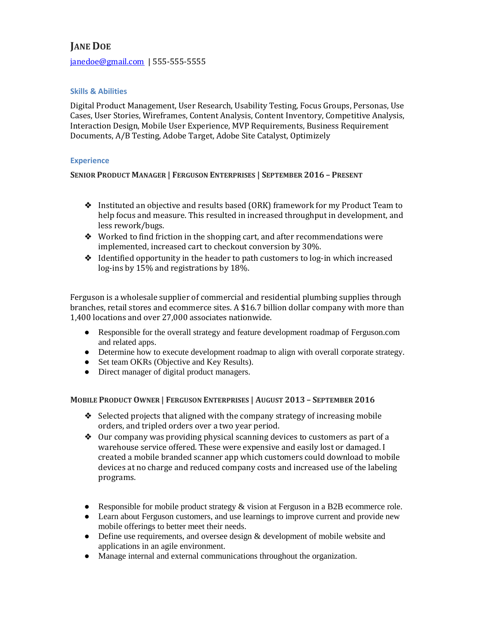# **JANE DOE**

[janedoe@gmail.com](mailto:janedoe@gmail.com) | 555-555-5555

### **Skills & Abilities**

Digital Product Management, User Research, Usability Testing, Focus Groups, Personas, Use Cases, User Stories, Wireframes, Content Analysis, Content Inventory, Competitive Analysis, Interaction Design, Mobile User Experience, MVP Requirements, Business Requirement Documents, A/B Testing, Adobe Target, Adobe Site Catalyst, Optimizely

#### **Experience**

**SENIOR PRODUCT MANAGER | FERGUSON ENTERPRISES | SEPTEMBER 2016 – PRESENT** 

- ❖ Instituted an objective and results based (ORK) framework for my Product Team to help focus and measure. This resulted in increased throughput in development, and less rework/bugs.
- ❖ Worked to find friction in the shopping cart, and after recommendations were implemented, increased cart to checkout conversion by 30%.
- ❖ Identified opportunity in the header to path customers to log-in which increased log-ins by 15% and registrations by 18%.

Ferguson is a wholesale supplier of commercial and residential plumbing supplies through branches, retail stores and ecommerce sites. A \$16.7 billion dollar company with more than 1,400 locations and over 27,000 associates nationwide.

- Responsible for the overall strategy and feature development roadmap of Ferguson.com and related apps.
- Determine how to execute development roadmap to align with overall corporate strategy.
- Set team OKRs (Objective and Key Results).
- Direct manager of digital product managers.

**MOBILE PRODUCT OWNER | FERGUSON ENTERPRISES | AUGUST 2013 – SEPTEMBER 2016**

- ❖ Selected projects that aligned with the company strategy of increasing mobile orders, and tripled orders over a two year period.
- ❖ Our company was providing physical scanning devices to customers as part of a warehouse service offered. These were expensive and easily lost or damaged. I created a mobile branded scanner app which customers could download to mobile devices at no charge and reduced company costs and increased use of the labeling programs.
- Responsible for mobile product strategy & vision at Ferguson in a B2B ecommerce role.
- Learn about Ferguson customers, and use learnings to improve current and provide new mobile offerings to better meet their needs.
- Define use requirements, and oversee design & development of mobile website and applications in an agile environment.
- Manage internal and external communications throughout the organization.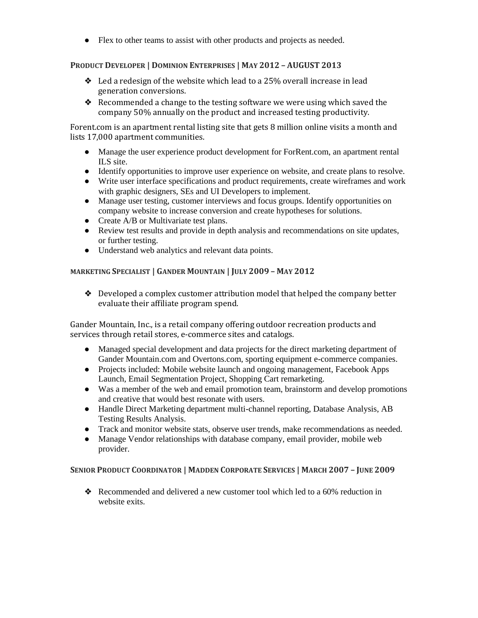● Flex to other teams to assist with other products and projects as needed.

# **PRODUCT DEVELOPER | DOMINION ENTERPRISES | MAY 2012 – AUGUST 2013**

- $\triangleleft$  Led a redesign of the website which lead to a 25% overall increase in lead generation conversions.
- ❖ Recommended a change to the testing software we were using which saved the company 50% annually on the product and increased testing productivity.

Forent.com is an apartment rental listing site that gets 8 million online visits a month and lists 17,000 apartment communities.

- Manage the user experience product development for ForRent.com, an apartment rental ILS site.
- Identify opportunities to improve user experience on website, and create plans to resolve.
- Write user interface specifications and product requirements, create wireframes and work with graphic designers, SEs and UI Developers to implement.
- Manage user testing, customer interviews and focus groups. Identify opportunities on company website to increase conversion and create hypotheses for solutions.
- Create A/B or Multivariate test plans.
- Review test results and provide in depth analysis and recommendations on site updates, or further testing.
- Understand web analytics and relevant data points.

# **MARKETING SPECIALIST | GANDER MOUNTAIN | JULY 2009 – MAY 2012**

❖ Developed a complex customer attribution model that helped the company better evaluate their affiliate program spend.

Gander Mountain, Inc., is a retail company offering outdoor recreation products and services through retail stores, e-commerce sites and catalogs.

- Managed special development and data projects for the direct marketing department of Gander Mountain.com and Overtons.com, sporting equipment e-commerce companies.
- Projects included: Mobile website launch and ongoing management, Facebook Apps Launch, Email Segmentation Project, Shopping Cart remarketing.
- Was a member of the web and email promotion team, brainstorm and develop promotions and creative that would best resonate with users.
- Handle Direct Marketing department multi-channel reporting, Database Analysis, AB Testing Results Analysis.
- Track and monitor website stats, observe user trends, make recommendations as needed.
- Manage Vendor relationships with database company, email provider, mobile web provider.

## SENIOR PRODUCT COORDINATOR | MADDEN CORPORATE SERVICES | MARCH 2007 - JUNE 2009

❖ Recommended and delivered a new customer tool which led to a 60% reduction in website exits.